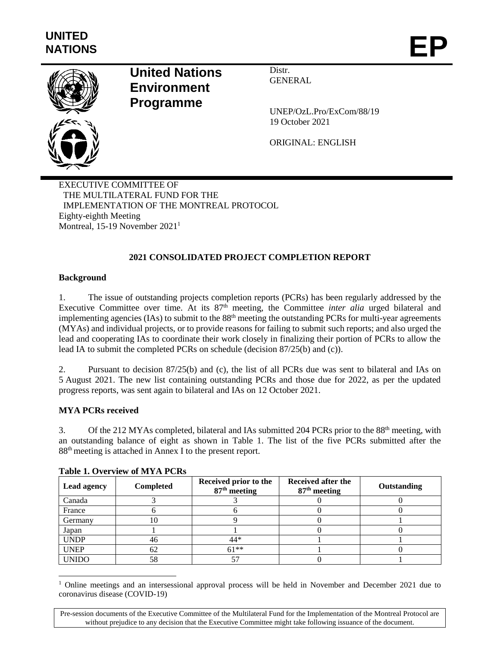

# **United Nations Environment Programme**

Distr. GENERAL

UNEP/OzL.Pro/ExCom/88/19 19 October 2021

ORIGINAL: ENGLISH

EXECUTIVE COMMITTEE OF THE MULTILATERAL FUND FOR THE IMPLEMENTATION OF THE MONTREAL PROTOCOL Eighty-eighth Meeting Montreal, 15-19 November 2021<sup>1</sup>

# **2021 CONSOLIDATED PROJECT COMPLETION REPORT**

### **Background**

1. The issue of outstanding projects completion reports (PCRs) has been regularly addressed by the Executive Committee over time. At its 87<sup>th</sup> meeting, the Committee *inter alia* urged bilateral and implementing agencies (IAs) to submit to the 88<sup>th</sup> meeting the outstanding PCRs for multi-year agreements (MYAs) and individual projects, or to provide reasons for failing to submit such reports; and also urged the lead and cooperating IAs to coordinate their work closely in finalizing their portion of PCRs to allow the lead IA to submit the completed PCRs on schedule (decision 87/25(b) and (c)).

2. Pursuant to decision 87/25(b) and (c), the list of all PCRs due was sent to bilateral and IAs on 5 August 2021. The new list containing outstanding PCRs and those due for 2022, as per the updated progress reports, was sent again to bilateral and IAs on 12 October 2021.

# **MYA PCRs received**

3. Of the 212 MYAs completed, bilateral and IAs submitted 204 PCRs prior to the 88<sup>th</sup> meeting, with an outstanding balance of eight as shown in Table 1. The list of the five PCRs submitted after the 88th meeting is attached in Annex I to the present report.

| Lead agency  | <b>Completed</b> | Received prior to the<br>$87th$ meeting | Received after the<br>$87th$ meeting | Outstanding |
|--------------|------------------|-----------------------------------------|--------------------------------------|-------------|
| Canada       |                  |                                         |                                      |             |
| France       |                  |                                         |                                      |             |
| Germany      | 10               |                                         |                                      |             |
| Japan        |                  |                                         |                                      |             |
| <b>UNDP</b>  | 46               | 44*                                     |                                      |             |
| <b>UNEP</b>  | 62               | $61**$                                  |                                      |             |
| <b>UNIDO</b> | 58               | 57                                      |                                      |             |

#### **Table 1. Overview of MYA PCRs**

l <sup>1</sup> Online meetings and an intersessional approval process will be held in November and December 2021 due to coronavirus disease (COVID-19)

Pre-session documents of the Executive Committee of the Multilateral Fund for the Implementation of the Montreal Protocol are without prejudice to any decision that the Executive Committee might take following issuance of the document.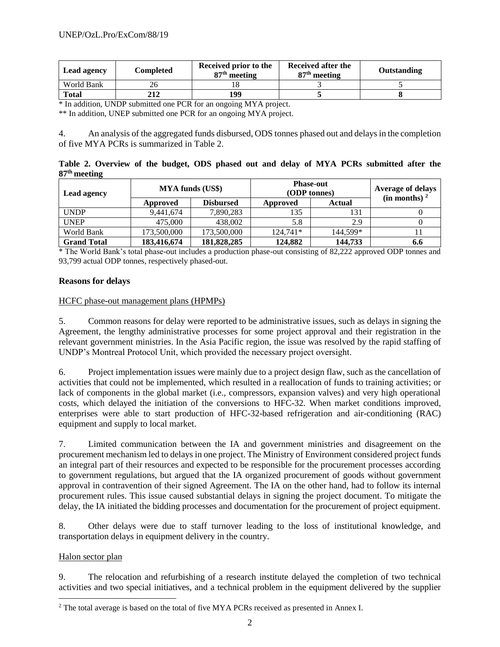| <b>Lead agency</b> | Completed | Received prior to the<br>87 <sup>th</sup> meeting | Received after the<br>$87th$ meeting | Outstanding |
|--------------------|-----------|---------------------------------------------------|--------------------------------------|-------------|
| World Bank         |           |                                                   |                                      |             |
| <b>Total</b>       | 212       | 199                                               |                                      |             |

\* In addition, UNDP submitted one PCR for an ongoing MYA project.

\*\* In addition, UNEP submitted one PCR for an ongoing MYA project.

4. An analysis of the aggregated funds disbursed, ODS tonnes phased out and delays in the completion of five MYA PCRs is summarized in Table 2.

**Table 2. Overview of the budget, ODS phased out and delay of MYA PCRs submitted after the 87 th meeting**

| <b>Lead agency</b> | <b>MYA funds (US\$)</b> |                  | <b>Phase-out</b><br>(ODP tonnes) | <b>Average of delays</b><br>(in months) <sup>2</sup> |     |
|--------------------|-------------------------|------------------|----------------------------------|------------------------------------------------------|-----|
|                    | Approved                | <b>Disbursed</b> | Approved                         | <b>Actual</b>                                        |     |
| <b>UNDP</b>        | 9,441,674               | 7,890,283        | 135                              | 131                                                  |     |
| <b>UNEP</b>        | 475,000                 | 438,002          | 5.8                              | 2.9                                                  |     |
| World Bank         | 173,500,000             | 173,500,000      | $124.741*$                       | 144.599*                                             |     |
| <b>Grand Total</b> | 183,416,674             | 181,828,285      | 124,882                          | 144,733                                              | 6.6 |

\* The World Bank's total phase-out includes a production phase-out consisting of 82,222 approved ODP tonnes and 93,799 actual ODP tonnes, respectively phased-out.

#### **Reasons for delays**

#### HCFC phase-out management plans (HPMPs)

5. Common reasons for delay were reported to be administrative issues, such as delays in signing the Agreement, the lengthy administrative processes for some project approval and their registration in the relevant government ministries. In the Asia Pacific region, the issue was resolved by the rapid staffing of UNDP's Montreal Protocol Unit, which provided the necessary project oversight.

6. Project implementation issues were mainly due to a project design flaw, such as the cancellation of activities that could not be implemented, which resulted in a reallocation of funds to training activities; or lack of components in the global market (i.e., compressors, expansion valves) and very high operational costs, which delayed the initiation of the conversions to HFC-32. When market conditions improved, enterprises were able to start production of HFC-32-based refrigeration and air-conditioning (RAC) equipment and supply to local market.

7. Limited communication between the IA and government ministries and disagreement on the procurement mechanism led to delays in one project. The Ministry of Environment considered project funds an integral part of their resources and expected to be responsible for the procurement processes according to government regulations, but argued that the IA organized procurement of goods without government approval in contravention of their signed Agreement. The IA on the other hand, had to follow its internal procurement rules. This issue caused substantial delays in signing the project document. To mitigate the delay, the IA initiated the bidding processes and documentation for the procurement of project equipment.

8. Other delays were due to staff turnover leading to the loss of institutional knowledge, and transportation delays in equipment delivery in the country.

#### Halon sector plan

l

9. The relocation and refurbishing of a research institute delayed the completion of two technical activities and two special initiatives, and a technical problem in the equipment delivered by the supplier

<sup>&</sup>lt;sup>2</sup> The total average is based on the total of five MYA PCRs received as presented in Annex I.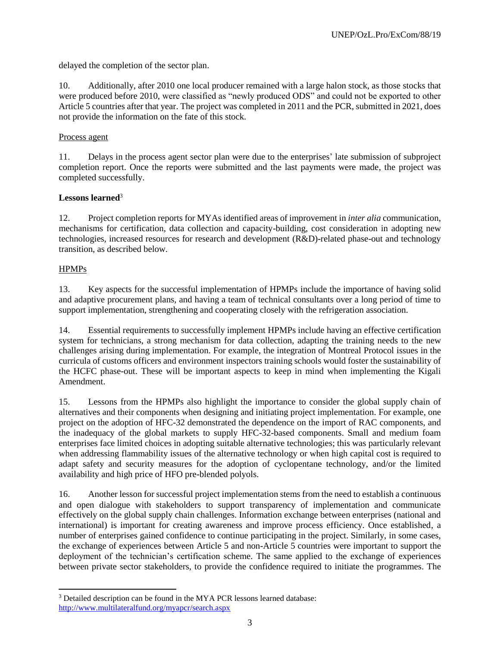delayed the completion of the sector plan.

10. Additionally, after 2010 one local producer remained with a large halon stock, as those stocks that were produced before 2010, were classified as "newly produced ODS" and could not be exported to other Article 5 countries after that year. The project was completed in 2011 and the PCR, submitted in 2021, does not provide the information on the fate of this stock.

#### Process agent

11. Delays in the process agent sector plan were due to the enterprises' late submission of subproject completion report. Once the reports were submitted and the last payments were made, the project was completed successfully.

### **Lessons learned**<sup>3</sup>

12. Project completion reports for MYAs identified areas of improvement in *inter alia* communication, mechanisms for certification, data collection and capacity-building, cost consideration in adopting new technologies, increased resources for research and development (R&D)-related phase-out and technology transition, as described below.

### HPMPs

l

13. Key aspects for the successful implementation of HPMPs include the importance of having solid and adaptive procurement plans, and having a team of technical consultants over a long period of time to support implementation, strengthening and cooperating closely with the refrigeration association.

14. Essential requirements to successfully implement HPMPs include having an effective certification system for technicians, a strong mechanism for data collection, adapting the training needs to the new challenges arising during implementation. For example, the integration of Montreal Protocol issues in the curricula of customs officers and environment inspectors training schools would foster the sustainability of the HCFC phase-out. These will be important aspects to keep in mind when implementing the Kigali Amendment.

15. Lessons from the HPMPs also highlight the importance to consider the global supply chain of alternatives and their components when designing and initiating project implementation. For example, one project on the adoption of HFC-32 demonstrated the dependence on the import of RAC components, and the inadequacy of the global markets to supply HFC-32-based components. Small and medium foam enterprises face limited choices in adopting suitable alternative technologies; this was particularly relevant when addressing flammability issues of the alternative technology or when high capital cost is required to adapt safety and security measures for the adoption of cyclopentane technology, and/or the limited availability and high price of HFO pre-blended polyols.

16. Another lesson for successful project implementation stems from the need to establish a continuous and open dialogue with stakeholders to support transparency of implementation and communicate effectively on the global supply chain challenges. Information exchange between enterprises (national and international) is important for creating awareness and improve process efficiency. Once established, a number of enterprises gained confidence to continue participating in the project. Similarly, in some cases, the exchange of experiences between Article 5 and non-Article 5 countries were important to support the deployment of the technician's certification scheme. The same applied to the exchange of experiences between private sector stakeholders, to provide the confidence required to initiate the programmes. The

<sup>&</sup>lt;sup>3</sup> Detailed description can be found in the MYA PCR lessons learned database: [http://www.multilateralfund.org/myapcr/search.aspx](http://www.multilateralfund.org/pcrmya/search.aspx)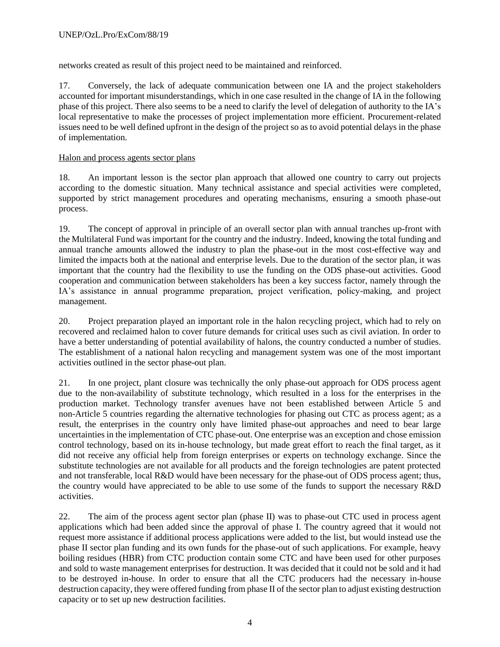networks created as result of this project need to be maintained and reinforced.

17. Conversely, the lack of adequate communication between one IA and the project stakeholders accounted for important misunderstandings, which in one case resulted in the change of IA in the following phase of this project. There also seems to be a need to clarify the level of delegation of authority to the IA's local representative to make the processes of project implementation more efficient. Procurement-related issues need to be well defined upfront in the design of the project so as to avoid potential delays in the phase of implementation.

# Halon and process agents sector plans

18. An important lesson is the sector plan approach that allowed one country to carry out projects according to the domestic situation. Many technical assistance and special activities were completed, supported by strict management procedures and operating mechanisms, ensuring a smooth phase-out process.

19. The concept of approval in principle of an overall sector plan with annual tranches up-front with the Multilateral Fund was important for the country and the industry. Indeed, knowing the total funding and annual tranche amounts allowed the industry to plan the phase-out in the most cost-effective way and limited the impacts both at the national and enterprise levels. Due to the duration of the sector plan, it was important that the country had the flexibility to use the funding on the ODS phase-out activities. Good cooperation and communication between stakeholders has been a key success factor, namely through the IA's assistance in annual programme preparation, project verification, policy-making, and project management.

20. Project preparation played an important role in the halon recycling project, which had to rely on recovered and reclaimed halon to cover future demands for critical uses such as civil aviation. In order to have a better understanding of potential availability of halons, the country conducted a number of studies. The establishment of a national halon recycling and management system was one of the most important activities outlined in the sector phase-out plan.

21. In one project, plant closure was technically the only phase-out approach for ODS process agent due to the non-availability of substitute technology, which resulted in a loss for the enterprises in the production market. Technology transfer avenues have not been established between Article 5 and non-Article 5 countries regarding the alternative technologies for phasing out CTC as process agent; as a result, the enterprises in the country only have limited phase-out approaches and need to bear large uncertainties in the implementation of CTC phase-out. One enterprise was an exception and chose emission control technology, based on its in-house technology, but made great effort to reach the final target, as it did not receive any official help from foreign enterprises or experts on technology exchange. Since the substitute technologies are not available for all products and the foreign technologies are patent protected and not transferable, local R&D would have been necessary for the phase-out of ODS process agent; thus, the country would have appreciated to be able to use some of the funds to support the necessary R&D activities.

22. The aim of the process agent sector plan (phase II) was to phase-out CTC used in process agent applications which had been added since the approval of phase I. The country agreed that it would not request more assistance if additional process applications were added to the list, but would instead use the phase II sector plan funding and its own funds for the phase-out of such applications. For example, heavy boiling residues (HBR) from CTC production contain some CTC and have been used for other purposes and sold to waste management enterprises for destruction. It was decided that it could not be sold and it had to be destroyed in-house. In order to ensure that all the CTC producers had the necessary in-house destruction capacity, they were offered funding from phase II of the sector plan to adjust existing destruction capacity or to set up new destruction facilities.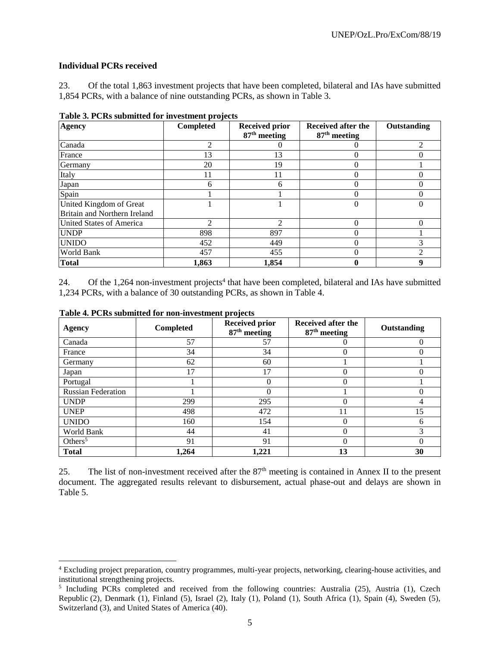#### **Individual PCRs received**

l

23. Of the total 1,863 investment projects that have been completed, bilateral and IAs have submitted 1,854 PCRs, with a balance of nine outstanding PCRs, as shown in Table 3.

| <b>Agency</b>                                           | Completed | <b>Received prior</b><br>87 <sup>th</sup> meeting | Received after the<br>$87th$ meeting | Outstanding    |
|---------------------------------------------------------|-----------|---------------------------------------------------|--------------------------------------|----------------|
| Canada                                                  |           |                                                   |                                      | $\mathfrak{D}$ |
| France                                                  | 13        | 13                                                |                                      |                |
| Germany                                                 | 20        | 19                                                |                                      |                |
| Italy                                                   | 11        | 11                                                |                                      |                |
| Japan                                                   | 6         | h                                                 |                                      |                |
| Spain                                                   |           |                                                   |                                      |                |
| United Kingdom of Great<br>Britain and Northern Ireland |           |                                                   |                                      |                |
| United States of America                                | 2         |                                                   | 0                                    |                |
| <b>UNDP</b>                                             | 898       | 897                                               |                                      |                |
| <b>UNIDO</b>                                            | 452       | 449                                               | 0                                    |                |
| <b>World Bank</b>                                       | 457       | 455                                               |                                      |                |
| <b>Total</b>                                            | 1,863     | 1,854                                             |                                      |                |

**Table 3. PCRs submitted for investment projects**

24. Of the 1,264 non-investment projects<sup>4</sup> that have been completed, bilateral and IAs have submitted 1,234 PCRs, with a balance of 30 outstanding PCRs, as shown in Table 4.

| <b>Agency</b>             | Completed | <b>Received prior</b><br>$87th$ meeting | Received after the<br>87 <sup>th</sup> meeting | Outstanding |
|---------------------------|-----------|-----------------------------------------|------------------------------------------------|-------------|
| Canada                    | 57        | 57                                      |                                                |             |
| France                    | 34        | 34                                      |                                                |             |
| Germany                   | 62        | 60                                      |                                                |             |
| Japan                     | 17        | 17                                      |                                                |             |
| Portugal                  |           | $\theta$                                | 0                                              |             |
| <b>Russian Federation</b> |           |                                         |                                                |             |
| <b>UNDP</b>               | 299       | 295                                     |                                                |             |
| <b>UNEP</b>               | 498       | 472                                     | 11                                             | 15          |
| <b>UNIDO</b>              | 160       | 154                                     |                                                | n           |
| World Bank                | 44        | 41                                      |                                                |             |
| Others <sup>5</sup>       | 91        | 91                                      |                                                |             |
| <b>Total</b>              | 1,264     | 1,221                                   | 13                                             | 30          |

**Table 4. PCRs submitted for non-investment projects**

25. The list of non-investment received after the 87<sup>th</sup> meeting is contained in Annex II to the present document. The aggregated results relevant to disbursement, actual phase-out and delays are shown in Table 5.

<sup>4</sup> Excluding project preparation, country programmes, multi-year projects, networking, clearing-house activities, and institutional strengthening projects.

<sup>&</sup>lt;sup>5</sup> Including PCRs completed and received from the following countries: Australia (25), Austria (1), Czech Republic (2), Denmark (1), Finland (5), Israel (2), Italy (1), Poland (1), South Africa (1), Spain (4), Sweden (5), Switzerland (3), and United States of America (40).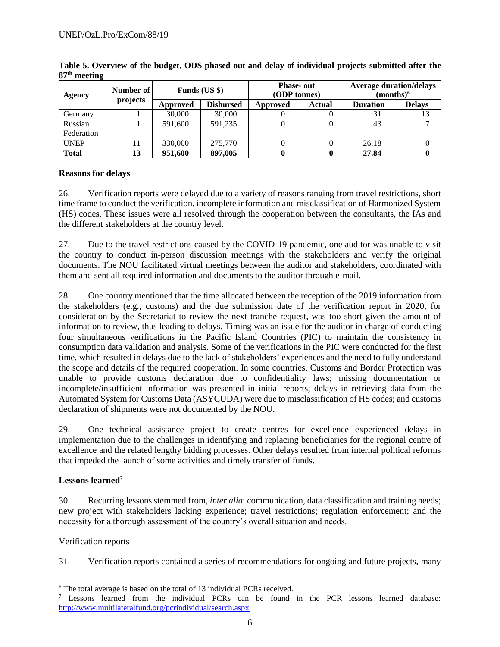| ັ<br>Agency  | Number of | Funds $(US \$ |                  | <b>Phase-out</b><br>(ODP tonnes) |               | <b>Average duration/delays</b><br>(months) <sup>6</sup> |               |
|--------------|-----------|---------------|------------------|----------------------------------|---------------|---------------------------------------------------------|---------------|
|              | projects  | Approved      | <b>Disbursed</b> | Approved                         | <b>Actual</b> | <b>Duration</b>                                         | <b>Delays</b> |
| Germany      |           | 30,000        | 30,000           |                                  |               | 31                                                      |               |
| Russian      |           | 591,600       | 591,235          |                                  |               | 43                                                      |               |
| Federation   |           |               |                  |                                  |               |                                                         |               |
| <b>UNEP</b>  |           | 330,000       | 275,770          |                                  |               | 26.18                                                   |               |
| <b>Total</b> | 13        | 951,600       | 897,005          |                                  |               | 27.84                                                   |               |

**Table 5. Overview of the budget, ODS phased out and delay of individual projects submitted after the 87 th meeting**

### **Reasons for delays**

26. Verification reports were delayed due to a variety of reasons ranging from travel restrictions, short time frame to conduct the verification, incomplete information and misclassification of Harmonized System (HS) codes. These issues were all resolved through the cooperation between the consultants, the IAs and the different stakeholders at the country level.

27. Due to the travel restrictions caused by the COVID-19 pandemic, one auditor was unable to visit the country to conduct in-person discussion meetings with the stakeholders and verify the original documents. The NOU facilitated virtual meetings between the auditor and stakeholders, coordinated with them and sent all required information and documents to the auditor through e-mail.

28. One country mentioned that the time allocated between the reception of the 2019 information from the stakeholders (e.g., customs) and the due submission date of the verification report in 2020, for consideration by the Secretariat to review the next tranche request, was too short given the amount of information to review, thus leading to delays. Timing was an issue for the auditor in charge of conducting four simultaneous verifications in the Pacific Island Countries (PIC) to maintain the consistency in consumption data validation and analysis. Some of the verifications in the PIC were conducted for the first time, which resulted in delays due to the lack of stakeholders' experiences and the need to fully understand the scope and details of the required cooperation. In some countries, Customs and Border Protection was unable to provide customs declaration due to confidentiality laws; missing documentation or incomplete/insufficient information was presented in initial reports; delays in retrieving data from the Automated System for Customs Data (ASYCUDA) were due to misclassification of HS codes; and customs declaration of shipments were not documented by the NOU.

29. One technical assistance project to create centres for excellence experienced delays in implementation due to the challenges in identifying and replacing beneficiaries for the regional centre of excellence and the related lengthy bidding processes. Other delays resulted from internal political reforms that impeded the launch of some activities and timely transfer of funds.

# **Lessons learned**<sup>7</sup>

30. Recurring lessons stemmed from, *inter alia*: communication, data classification and training needs; new project with stakeholders lacking experience; travel restrictions; regulation enforcement; and the necessity for a thorough assessment of the country's overall situation and needs.

#### Verification reports

l

31. Verification reports contained a series of recommendations for ongoing and future projects, many

<sup>&</sup>lt;sup>6</sup> The total average is based on the total of 13 individual PCRs received.

<sup>7</sup> Lessons learned from the individual PCRs can be found in the PCR lessons learned database: <http://www.multilateralfund.org/pcrindividual/search.aspx>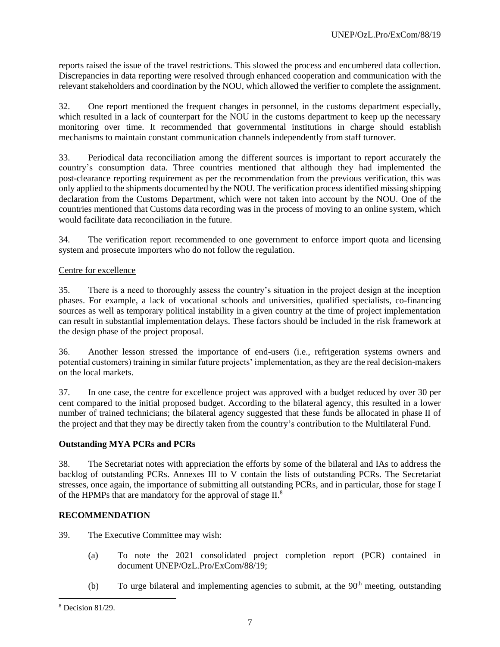reports raised the issue of the travel restrictions. This slowed the process and encumbered data collection. Discrepancies in data reporting were resolved through enhanced cooperation and communication with the relevant stakeholders and coordination by the NOU, which allowed the verifier to complete the assignment.

32. One report mentioned the frequent changes in personnel, in the customs department especially, which resulted in a lack of counterpart for the NOU in the customs department to keep up the necessary monitoring over time. It recommended that governmental institutions in charge should establish mechanisms to maintain constant communication channels independently from staff turnover.

33. Periodical data reconciliation among the different sources is important to report accurately the country's consumption data. Three countries mentioned that although they had implemented the post-clearance reporting requirement as per the recommendation from the previous verification, this was only applied to the shipments documented by the NOU. The verification process identified missing shipping declaration from the Customs Department, which were not taken into account by the NOU. One of the countries mentioned that Customs data recording was in the process of moving to an online system, which would facilitate data reconciliation in the future.

34. The verification report recommended to one government to enforce import quota and licensing system and prosecute importers who do not follow the regulation.

### Centre for excellence

35. There is a need to thoroughly assess the country's situation in the project design at the inception phases. For example, a lack of vocational schools and universities, qualified specialists, co-financing sources as well as temporary political instability in a given country at the time of project implementation can result in substantial implementation delays. These factors should be included in the risk framework at the design phase of the project proposal.

36. Another lesson stressed the importance of end-users (i.e., refrigeration systems owners and potential customers) training in similar future projects' implementation, as they are the real decision-makers on the local markets.

37. In one case, the centre for excellence project was approved with a budget reduced by over 30 per cent compared to the initial proposed budget. According to the bilateral agency, this resulted in a lower number of trained technicians; the bilateral agency suggested that these funds be allocated in phase II of the project and that they may be directly taken from the country's contribution to the Multilateral Fund.

#### **Outstanding MYA PCRs and PCRs**

38. The Secretariat notes with appreciation the efforts by some of the bilateral and IAs to address the backlog of outstanding PCRs. Annexes III to V contain the lists of outstanding PCRs. The Secretariat stresses, once again, the importance of submitting all outstanding PCRs, and in particular, those for stage I of the HPMPs that are mandatory for the approval of stage II.<sup>8</sup>

#### **RECOMMENDATION**

39. The Executive Committee may wish:

- (a) To note the 2021 consolidated project completion report (PCR) contained in document UNEP/OzL.Pro/ExCom/88/19;
- (b) To urge bilateral and implementing agencies to submit, at the  $90<sup>th</sup>$  meeting, outstanding

l

<sup>8</sup> Decision 81/29.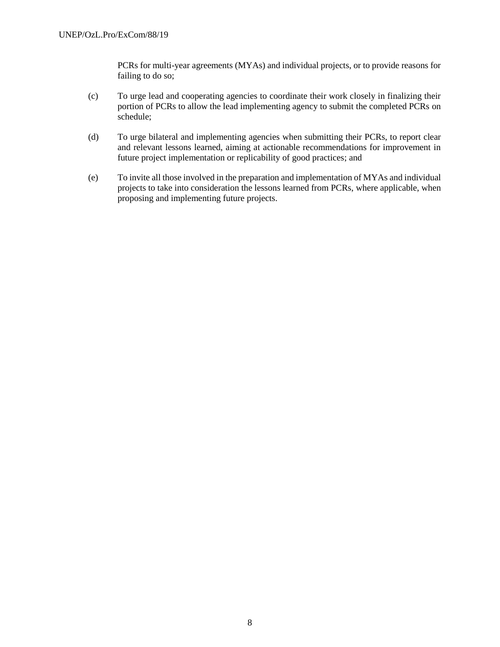PCRs for multi-year agreements (MYAs) and individual projects, or to provide reasons for failing to do so;

- (c) To urge lead and cooperating agencies to coordinate their work closely in finalizing their portion of PCRs to allow the lead implementing agency to submit the completed PCRs on schedule;
- (d) To urge bilateral and implementing agencies when submitting their PCRs, to report clear and relevant lessons learned, aiming at actionable recommendations for improvement in future project implementation or replicability of good practices; and
- (e) To invite all those involved in the preparation and implementation of MYAs and individual projects to take into consideration the lessons learned from PCRs, where applicable, when proposing and implementing future projects.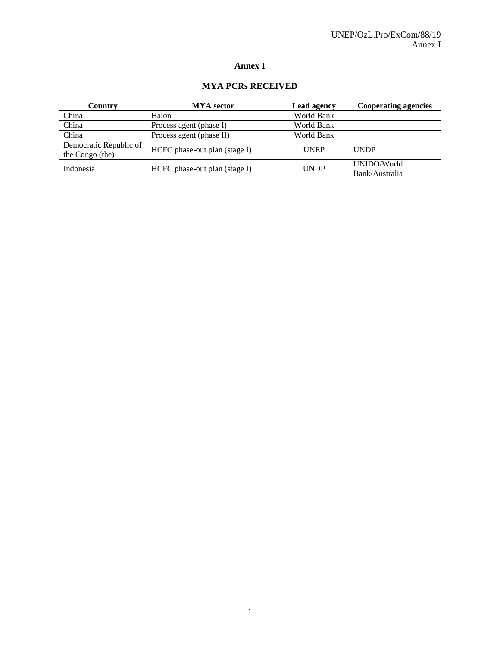## **Annex I**

#### **MYA PCRs RECEIVED**

| Country                                   | <b>MYA</b> sector             | <b>Lead agency</b> | <b>Cooperating agencies</b>   |
|-------------------------------------------|-------------------------------|--------------------|-------------------------------|
| China                                     | Halon                         | World Bank         |                               |
| China                                     | Process agent (phase I)       | World Bank         |                               |
| China                                     | Process agent (phase II)      | World Bank         |                               |
| Democratic Republic of<br>the Congo (the) | HCFC phase-out plan (stage I) | <b>UNEP</b>        | <b>UNDP</b>                   |
| Indonesia                                 | HCFC phase-out plan (stage I) | <b>UNDP</b>        | UNIDO/World<br>Bank/Australia |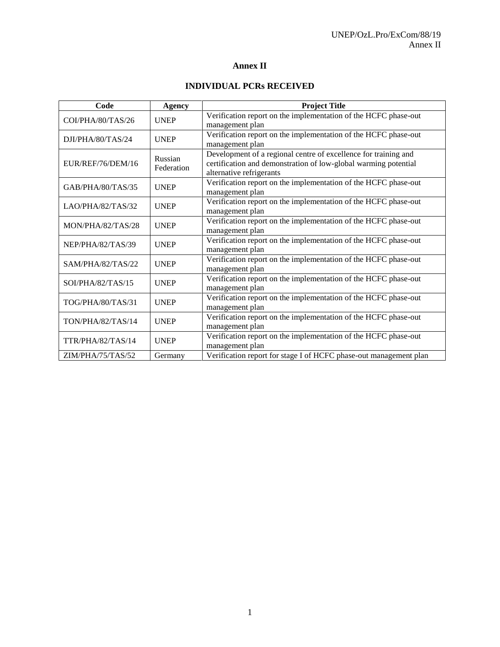# **Annex II**

# **INDIVIDUAL PCRs RECEIVED**

| Code              | <b>Agency</b>         | <b>Project Title</b>                                                                                                                                           |
|-------------------|-----------------------|----------------------------------------------------------------------------------------------------------------------------------------------------------------|
| COI/PHA/80/TAS/26 | <b>UNEP</b>           | Verification report on the implementation of the HCFC phase-out<br>management plan                                                                             |
| DJI/PHA/80/TAS/24 | <b>UNEP</b>           | Verification report on the implementation of the HCFC phase-out<br>management plan                                                                             |
| EUR/REF/76/DEM/16 | Russian<br>Federation | Development of a regional centre of excellence for training and<br>certification and demonstration of low-global warming potential<br>alternative refrigerants |
| GAB/PHA/80/TAS/35 | <b>UNEP</b>           | Verification report on the implementation of the HCFC phase-out<br>management plan                                                                             |
| LAO/PHA/82/TAS/32 | <b>UNEP</b>           | Verification report on the implementation of the HCFC phase-out<br>management plan                                                                             |
| MON/PHA/82/TAS/28 | <b>UNEP</b>           | Verification report on the implementation of the HCFC phase-out<br>management plan                                                                             |
| NEP/PHA/82/TAS/39 | <b>UNEP</b>           | Verification report on the implementation of the HCFC phase-out<br>management plan                                                                             |
| SAM/PHA/82/TAS/22 | <b>UNEP</b>           | Verification report on the implementation of the HCFC phase-out<br>management plan                                                                             |
| SOI/PHA/82/TAS/15 | <b>UNEP</b>           | Verification report on the implementation of the HCFC phase-out<br>management plan                                                                             |
| TOG/PHA/80/TAS/31 | <b>UNEP</b>           | Verification report on the implementation of the HCFC phase-out<br>management plan                                                                             |
| TON/PHA/82/TAS/14 | <b>UNEP</b>           | Verification report on the implementation of the HCFC phase-out<br>management plan                                                                             |
| TTR/PHA/82/TAS/14 | <b>UNEP</b>           | Verification report on the implementation of the HCFC phase-out<br>management plan                                                                             |
| ZIM/PHA/75/TAS/52 | Germany               | Verification report for stage I of HCFC phase-out management plan                                                                                              |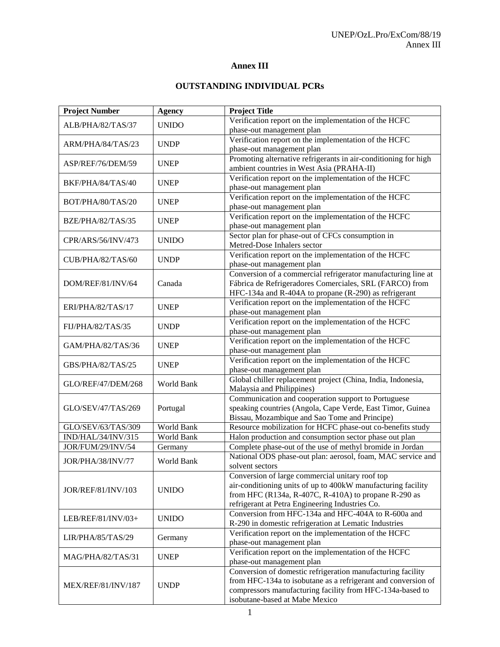### **Annex III**

# **OUTSTANDING INDIVIDUAL PCRs**

| <b>Project Number</b>                   | <b>Agency</b>     | <b>Project Title</b>                                                                                                     |
|-----------------------------------------|-------------------|--------------------------------------------------------------------------------------------------------------------------|
| ALB/PHA/82/TAS/37                       | <b>UNIDO</b>      | Verification report on the implementation of the HCFC                                                                    |
|                                         |                   | phase-out management plan                                                                                                |
| ARM/PHA/84/TAS/23                       | <b>UNDP</b>       | Verification report on the implementation of the HCFC                                                                    |
|                                         |                   | phase-out management plan                                                                                                |
| ASP/REF/76/DEM/59                       | <b>UNEP</b>       | Promoting alternative refrigerants in air-conditioning for high                                                          |
|                                         |                   | ambient countries in West Asia (PRAHA-II)                                                                                |
| BKF/PHA/84/TAS/40                       | <b>UNEP</b>       | Verification report on the implementation of the HCFC                                                                    |
|                                         |                   | phase-out management plan                                                                                                |
| BOT/PHA/80/TAS/20                       | <b>UNEP</b>       | Verification report on the implementation of the HCFC                                                                    |
|                                         |                   | phase-out management plan                                                                                                |
| BZE/PHA/82/TAS/35                       | <b>UNEP</b>       | Verification report on the implementation of the HCFC                                                                    |
|                                         |                   | phase-out management plan                                                                                                |
| CPR/ARS/56/INV/473                      | <b>UNIDO</b>      | Sector plan for phase-out of CFCs consumption in                                                                         |
|                                         |                   | Metred-Dose Inhalers sector                                                                                              |
| CUB/PHA/82/TAS/60                       | <b>UNDP</b>       | Verification report on the implementation of the HCFC                                                                    |
|                                         |                   | phase-out management plan                                                                                                |
|                                         |                   | Conversion of a commercial refrigerator manufacturing line at                                                            |
| DOM/REF/81/INV/64                       | Canada            | Fábrica de Refrigeradores Comerciales, SRL (FARCO) from                                                                  |
|                                         |                   | HFC-134a and R-404A to propane (R-290) as refrigerant                                                                    |
| ERI/PHA/82/TAS/17                       | <b>UNEP</b>       | Verification report on the implementation of the HCFC                                                                    |
|                                         |                   | phase-out management plan                                                                                                |
| FIJ/PHA/82/TAS/35                       | <b>UNDP</b>       | Verification report on the implementation of the HCFC                                                                    |
|                                         |                   | phase-out management plan                                                                                                |
| GAM/PHA/82/TAS/36                       | <b>UNEP</b>       | Verification report on the implementation of the HCFC                                                                    |
|                                         |                   | phase-out management plan                                                                                                |
| GBS/PHA/82/TAS/25                       | <b>UNEP</b>       | Verification report on the implementation of the HCFC                                                                    |
|                                         |                   | phase-out management plan                                                                                                |
| GLO/REF/47/DEM/268                      | World Bank        | Global chiller replacement project (China, India, Indonesia,                                                             |
|                                         |                   | Malaysia and Philippines)                                                                                                |
|                                         |                   | Communication and cooperation support to Portuguese                                                                      |
| GLO/SEV/47/TAS/269                      | Portugal          | speaking countries (Angola, Cape Verde, East Timor, Guinea                                                               |
| GLO/SEV/63/TAS/309                      | <b>World Bank</b> | Bissau, Mozambique and Sao Tome and Principe)                                                                            |
|                                         | <b>World Bank</b> | Resource mobilization for HCFC phase-out co-benefits study                                                               |
| IND/HAL/34/INV/315<br>JOR/FUM/29/INV/54 |                   | Halon production and consumption sector phase out plan                                                                   |
|                                         | Germany           | Complete phase-out of the use of methyl bromide in Jordan<br>National ODS phase-out plan: aerosol, foam, MAC service and |
| JOR/PHA/38/INV/77                       | <b>World Bank</b> | solvent sectors                                                                                                          |
|                                         |                   | Conversion of large commercial unitary roof top                                                                          |
|                                         |                   | air-conditioning units of up to 400kW manufacturing facility                                                             |
| <b>JOR/REF/81/INV/103</b>               | <b>UNIDO</b>      | from HFC (R134a, R-407C, R-410A) to propane R-290 as                                                                     |
|                                         |                   | refrigerant at Petra Engineering Industries Co.                                                                          |
|                                         |                   | Conversion from HFC-134a and HFC-404A to R-600a and                                                                      |
| LEB/REF/81/INV/03+                      | <b>UNIDO</b>      | R-290 in domestic refrigeration at Lematic Industries                                                                    |
|                                         |                   | Verification report on the implementation of the HCFC                                                                    |
| LIR/PHA/85/TAS/29                       | Germany           | phase-out management plan                                                                                                |
|                                         |                   | Verification report on the implementation of the HCFC                                                                    |
| MAG/PHA/82/TAS/31                       | <b>UNEP</b>       | phase-out management plan                                                                                                |
|                                         |                   | Conversion of domestic refrigeration manufacturing facility                                                              |
|                                         |                   | from HFC-134a to isobutane as a refrigerant and conversion of                                                            |
| MEX/REF/81/INV/187                      | <b>UNDP</b>       | compressors manufacturing facility from HFC-134a-based to                                                                |
|                                         |                   | isobutane-based at Mabe Mexico                                                                                           |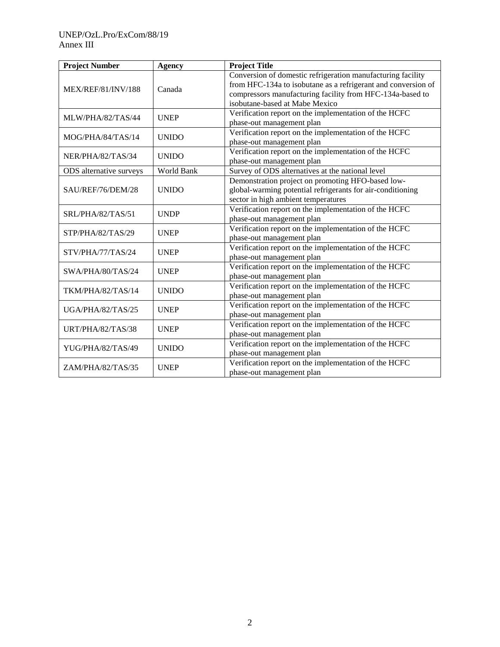| <b>Project Number</b>   | <b>Agency</b> | <b>Project Title</b>                                          |
|-------------------------|---------------|---------------------------------------------------------------|
|                         |               | Conversion of domestic refrigeration manufacturing facility   |
| MEX/REF/81/INV/188      | Canada        | from HFC-134a to isobutane as a refrigerant and conversion of |
|                         |               | compressors manufacturing facility from HFC-134a-based to     |
|                         |               | isobutane-based at Mabe Mexico                                |
| MLW/PHA/82/TAS/44       | <b>UNEP</b>   | Verification report on the implementation of the HCFC         |
|                         |               | phase-out management plan                                     |
| MOG/PHA/84/TAS/14       | <b>UNIDO</b>  | Verification report on the implementation of the HCFC         |
|                         |               | phase-out management plan                                     |
| NER/PHA/82/TAS/34       | <b>UNIDO</b>  | Verification report on the implementation of the HCFC         |
|                         |               | phase-out management plan                                     |
| ODS alternative surveys | World Bank    | Survey of ODS alternatives at the national level              |
|                         |               | Demonstration project on promoting HFO-based low-             |
| SAU/REF/76/DEM/28       | <b>UNIDO</b>  | global-warming potential refrigerants for air-conditioning    |
|                         |               | sector in high ambient temperatures                           |
| SRL/PHA/82/TAS/51       | <b>UNDP</b>   | Verification report on the implementation of the HCFC         |
|                         |               | phase-out management plan                                     |
| STP/PHA/82/TAS/29       | <b>UNEP</b>   | Verification report on the implementation of the HCFC         |
|                         |               | phase-out management plan                                     |
| STV/PHA/77/TAS/24       | <b>UNEP</b>   | Verification report on the implementation of the HCFC         |
|                         |               | phase-out management plan                                     |
| SWA/PHA/80/TAS/24       | <b>UNEP</b>   | Verification report on the implementation of the HCFC         |
|                         |               | phase-out management plan                                     |
| TKM/PHA/82/TAS/14       | <b>UNIDO</b>  | Verification report on the implementation of the HCFC         |
|                         |               | phase-out management plan                                     |
| UGA/PHA/82/TAS/25       | <b>UNEP</b>   | Verification report on the implementation of the HCFC         |
|                         |               | phase-out management plan                                     |
| URT/PHA/82/TAS/38       | <b>UNEP</b>   | Verification report on the implementation of the HCFC         |
|                         |               | phase-out management plan                                     |
| YUG/PHA/82/TAS/49       | <b>UNIDO</b>  | Verification report on the implementation of the HCFC         |
|                         |               | phase-out management plan                                     |
| ZAM/PHA/82/TAS/35       | <b>UNEP</b>   | Verification report on the implementation of the HCFC         |
|                         |               | phase-out management plan                                     |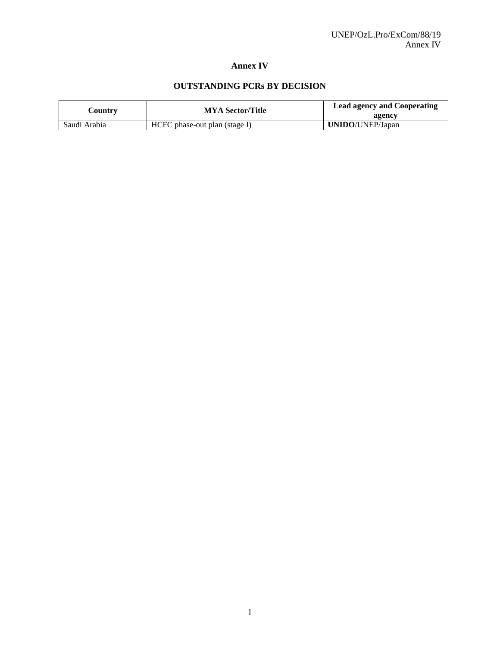### **Annex IV**

# **OUTSTANDING PCRs BY DECISION**

| Country      | <b>MYA Sector/Title</b>       | <b>Lead agency and Cooperating</b><br>agency |
|--------------|-------------------------------|----------------------------------------------|
| Saudi Arabia | HCFC phase-out plan (stage I) | <b>UNIDO/UNEP/Japan</b>                      |